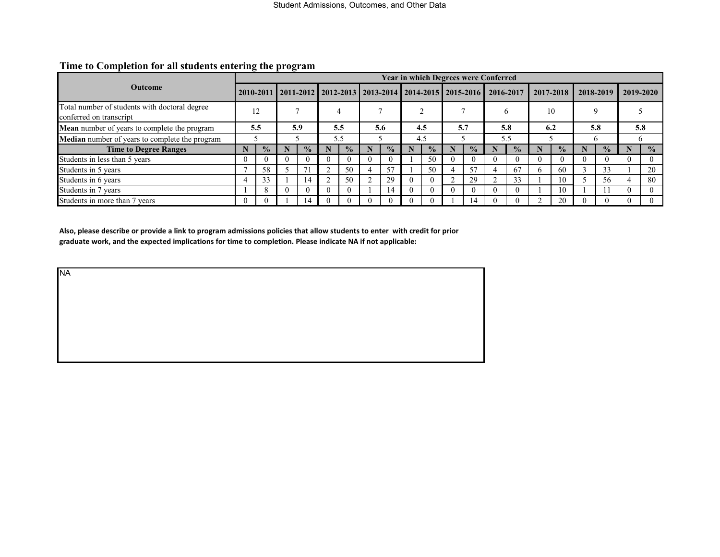|                                                                          |          |               |  |                                                                                   |     |               |  |               |     |                |  |               | <b>Year in which Degrees were Conferred</b> |               |   |               |           |               |           |               |  |
|--------------------------------------------------------------------------|----------|---------------|--|-----------------------------------------------------------------------------------|-----|---------------|--|---------------|-----|----------------|--|---------------|---------------------------------------------|---------------|---|---------------|-----------|---------------|-----------|---------------|--|
| <b>Outcome</b>                                                           |          |               |  | 2010-2011   2011-2012   2012-2013   2013-2014   2014-2015   2015-2016   2016-2017 |     |               |  |               |     |                |  |               |                                             |               |   | 2017-2018     | 2018-2019 |               | 2019-2020 |               |  |
| Total number of students with doctoral degree<br>conferred on transcript |          | 12            |  |                                                                                   |     |               |  |               |     |                |  |               |                                             | <sub>b</sub>  |   | 10            |           |               |           |               |  |
| Mean number of years to complete the program                             |          | 5.5           |  | 5.9                                                                               |     | 5.5           |  | 5.6           |     | 4.5            |  | 5.7           |                                             | 5.8           |   | 6.2           |           | 5.8           |           | 5.8           |  |
| <b>Median</b> number of years to complete the program                    |          |               |  |                                                                                   | 5.5 |               |  |               | 4.5 |                |  |               | 5.5                                         |               |   |               | n         |               | h         |               |  |
| <b>Time to Degree Ranges</b>                                             |          | $\frac{6}{9}$ |  | $\frac{0}{2}$                                                                     |     | $\frac{1}{2}$ |  | $\frac{0}{2}$ |     | $\frac{6}{10}$ |  | $\frac{1}{2}$ |                                             | $\frac{0}{0}$ |   | $\frac{1}{2}$ |           | $\frac{6}{9}$ |           | $\frac{0}{0}$ |  |
| Students in less than 5 years                                            | $\Omega$ |               |  |                                                                                   |     | $\theta$      |  |               |     | 50             |  |               |                                             |               |   | $\theta$      |           |               |           |               |  |
| Students in 5 years                                                      |          | 58            |  |                                                                                   |     | 50            |  | 57            |     | 50             |  | 57            |                                             | 67            | n | 60            |           | 33            |           | 20            |  |
| Students in 6 years                                                      | 4        |               |  | 14                                                                                |     | 50            |  | 29            |     | $\Omega$       |  | 29            |                                             | 33            |   | 10            |           | 56            |           | 80            |  |
| Students in 7 years                                                      |          |               |  |                                                                                   |     | $\Omega$      |  | 14            |     | $\Omega$       |  |               |                                             |               |   | 10            |           |               |           |               |  |
| Students in more than 7 years                                            | $\theta$ |               |  | <sub>1</sub> 4                                                                    |     |               |  |               |     |                |  | <b>4</b>      |                                             |               |   | 20            |           |               |           |               |  |

#### **Time to Completion for all students entering the program**

**Also, please describe or provide a link to program admissions policies that allow students to enter with credit for prior graduate work, and the expected implications for time to completion. Please indicate NA if not applicable:**

NA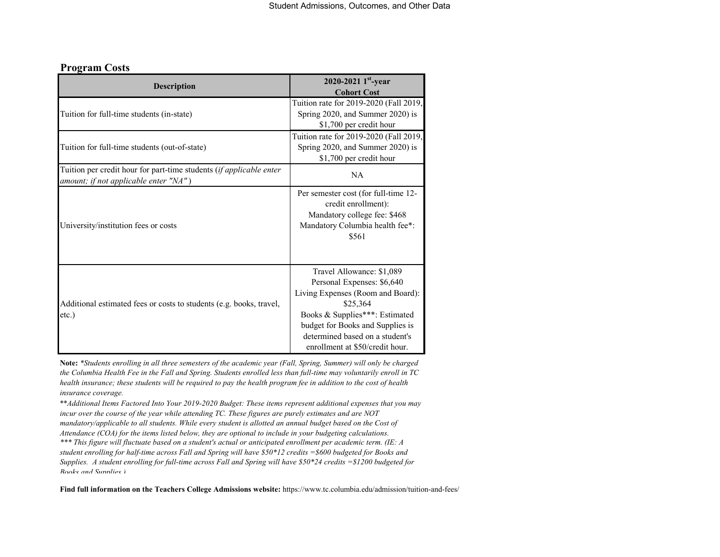#### **Program Costs**

| <b>Description</b>                                                                                           | 2020-2021 $1^{\text{st}}$ -year<br><b>Cohort Cost</b>                                                                                                                                                                                                |
|--------------------------------------------------------------------------------------------------------------|------------------------------------------------------------------------------------------------------------------------------------------------------------------------------------------------------------------------------------------------------|
| Tuition for full-time students (in-state)                                                                    | Tuition rate for 2019-2020 (Fall 2019,<br>Spring 2020, and Summer 2020) is<br>\$1,700 per credit hour                                                                                                                                                |
| Tuition for full-time students (out-of-state)                                                                | Tuition rate for 2019-2020 (Fall 2019,<br>Spring 2020, and Summer 2020) is<br>\$1,700 per credit hour                                                                                                                                                |
| Tuition per credit hour for part-time students (if applicable enter<br>amount; if not applicable enter "NA") | <b>NA</b>                                                                                                                                                                                                                                            |
| University/institution fees or costs                                                                         | Per semester cost (for full-time 12-<br>credit enrollment):<br>Mandatory college fee: \$468<br>Mandatory Columbia health fee*:<br>\$561                                                                                                              |
| Additional estimated fees or costs to students (e.g. books, travel,<br>$etc.$ )                              | Travel Allowance: \$1,089<br>Personal Expenses: \$6,640<br>Living Expenses (Room and Board):<br>\$25,364<br>Books & Supplies***: Estimated<br>budget for Books and Supplies is<br>determined based on a student's<br>enrollment at \$50/credit hour. |

**Note:** *\*Students enrolling in all three semesters of the academic year (Fall, Spring, Summer) will only be charged the Columbia Health Fee in the Fall and Spring. Students enrolled less than full-time may voluntarily enroll in TC health insurance; these students will be required to pay the health program fee in addition to the cost of health insurance coverage.*

\*\**Additional Items Factored Into Your 2019-2020 Budget: These items represent additional expenses that you may incur over the course of the year while attending TC. These figures are purely estimates and are NOT mandatory/applicable to all students. While every student is allotted an annual budget based on the Cost of Attendance (COA) for the items listed below, they are optional to include in your budgeting calculations. \*\*\* This figure will fluctuate based on a student's actual or anticipated enrollment per academic term. (IE: A student enrolling for half-time across Fall and Spring will have \$50\*12 credits =\$600 budgeted for Books and Supplies. A student enrolling for full-time across Fall and Spring will have \$50\*24 credits =\$1200 budgeted for* 

*Books and Supplies )*

**Find full information on the Teachers College Admissions website:** https://www.tc.columbia.edu/admission/tuition-and-fees/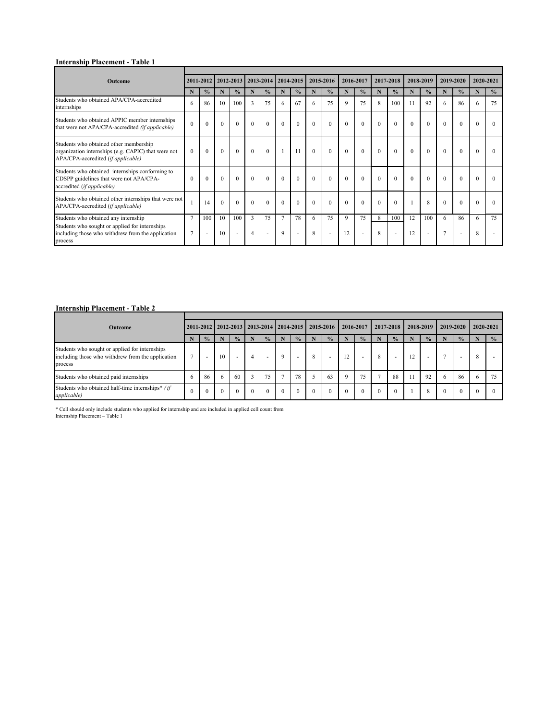# **Internship Placement - Table 1**

| <b>Outcome</b>                                                                                                                      |              |                          | 2011-2012   2012-2013   2013-2014 |               |                |                          | 2014-2015      |                          | 2015-2016   |                | 2016-2017    |                          | 2017-2018        |                          |             | 2018-2019                |                | 2019-2020                |                  | 2020-2021     |
|-------------------------------------------------------------------------------------------------------------------------------------|--------------|--------------------------|-----------------------------------|---------------|----------------|--------------------------|----------------|--------------------------|-------------|----------------|--------------|--------------------------|------------------|--------------------------|-------------|--------------------------|----------------|--------------------------|------------------|---------------|
|                                                                                                                                     | N            | $\frac{0}{0}$            | $\mathbf N$                       | $\frac{0}{0}$ | $\mathbf N$    | $\frac{0}{0}$            | $\mathbf N$    | $\frac{0}{0}$            | $\mathbf N$ | $\frac{0}{0}$  | N            | $\frac{0}{0}$            | $\mathbf N$      | $\frac{0}{0}$            | $\mathbf N$ | $\frac{0}{0}$            | $\mathbf N$    | $\frac{0}{0}$            | $\mathbf N$      | $\frac{0}{0}$ |
| Students who obtained APA/CPA-accredited<br>internships                                                                             | 6            | 86                       | 10                                | 100           | $\overline{3}$ | 75                       | 6              | 67                       | 6           | 75             | $\mathbf Q$  | 75                       | 8                | 100                      |             | 92                       | 6              | 86                       | 6                | 75            |
| Students who obtained APPIC member internships<br>that were not APA/CPA-accredited (if applicable)                                  | $\mathbf{0}$ | $\boldsymbol{0}$         | $\theta$                          | $\mathbf{0}$  | $\overline{0}$ | $\mathbf{0}$             | $\overline{0}$ | $\mathbf{0}$             | $\theta$    | $\overline{0}$ | $\mathbf{0}$ | $\boldsymbol{0}$         | $\boldsymbol{0}$ | $\theta$                 | $\theta$    | $\theta$                 | $\overline{0}$ | $\mathbf{0}$             | $\boldsymbol{0}$ | $\theta$      |
| Students who obtained other membership<br>organization internships (e.g. CAPIC) that were not<br>APA/CPA-accredited (if applicable) | $\Omega$     | $\theta$                 | $\theta$                          | $\theta$      | $\theta$       | $\theta$                 |                | 11                       | $\theta$    | $\overline{0}$ | $\mathbf{0}$ | $\mathbf{0}$             | $\overline{0}$   | $\theta$                 | $\Omega$    | $\mathbf{0}$             | $\theta$       | $\overline{0}$           | $\theta$         | $\Omega$      |
| Students who obtained internships conforming to<br>CDSPP guidelines that were not APA/CPA-<br>accredited (if applicable)            | $\Omega$     | $\Omega$                 | $\Omega$                          | $\Omega$      | $\theta$       | $\theta$                 | $\theta$       | $\theta$                 | $\theta$    | $\Omega$       | $\Omega$     | $\overline{0}$           | $\theta$         | $\Omega$                 | $\Omega$    | $\theta$                 | $\Omega$       | $\Omega$                 | $\Omega$         | $\Omega$      |
| Students who obtained other internships that were not<br>APA/CPA-accredited (if applicable)                                         |              | 14                       | $\Omega$                          | $\Omega$      | $\theta$       | $\theta$                 | $\theta$       | $\theta$                 | $\theta$    | $\Omega$       | $\Omega$     | $\Omega$                 | $\theta$         | $\Omega$                 |             | 8                        | $\Omega$       | $\Omega$                 | $\Omega$         | $\Omega$      |
| Students who obtained any internship                                                                                                | $\tau$       | 100                      | 10                                | 100           | $\overline{3}$ | 75                       | $\tau$         | 78                       | 6           | 75             | 9            | 75                       | 8                | 100                      | 12          | 100                      | 6              | 86                       | 6                | 75            |
| Students who sought or applied for internships<br>including those who withdrew from the application<br>process                      | $\tau$       | $\overline{\phantom{a}}$ | 10                                |               |                | $\overline{\phantom{a}}$ | 9              | $\overline{\phantom{a}}$ | 8           | $\blacksquare$ | 12           | $\overline{\phantom{a}}$ | 8                | $\overline{\phantom{a}}$ | 12          | $\overline{\phantom{a}}$ | $\tau$         | $\overline{\phantom{a}}$ | 8                |               |

# **Internship Placement - Table 2**

| <b>Outcome</b>                                                                                                 |              |                          | 2011-2012   2012-2013   2013-2014   2014-2015   2015-2016 |               |          |                          |                |               |          |                          | 2016-2017 |                          | 2017-2018 |               | 2018-2019 |                          | 2019-2020    |               |               | 2020-2021     |
|----------------------------------------------------------------------------------------------------------------|--------------|--------------------------|-----------------------------------------------------------|---------------|----------|--------------------------|----------------|---------------|----------|--------------------------|-----------|--------------------------|-----------|---------------|-----------|--------------------------|--------------|---------------|---------------|---------------|
|                                                                                                                |              | $\frac{1}{2}$            | N                                                         | $\frac{0}{0}$ |          | $\frac{0}{2}$            |                | $\frac{1}{2}$ |          | $\frac{1}{2}$            |           | $\frac{0}{0}$            |           | $\frac{1}{2}$ |           | $\frac{0}{0}$            |              | $\frac{1}{2}$ |               | $\frac{0}{0}$ |
| Students who sought or applied for internships<br>including those who withdrew from the application<br>process | $\mathbf{r}$ | $\overline{\phantom{0}}$ | 10                                                        |               | 4        | $\overline{\phantom{0}}$ | $\Omega$       |               | 8        | $\overline{\phantom{a}}$ |           | $\overline{\phantom{0}}$ | 8         |               |           | $\overline{\phantom{0}}$ |              |               | 8             |               |
| Students who obtained paid internships                                                                         | <sub>0</sub> | 86                       | <sub>0</sub>                                              | 60            |          | 75                       | $\overline{ }$ | 78            |          | 63                       | Q         | 75                       |           | 88            |           | 92                       | <sub>0</sub> | 86            | $\mathfrak b$ | 75            |
| Students who obtained half-time internships <sup>*</sup> (if<br><i>applicable</i> )                            | $\theta$     | $\theta$                 | $\theta$                                                  | $\theta$      | $\theta$ |                          |                |               | $\Omega$ | $\theta$                 |           | $\Omega$                 | $\Omega$  | $\theta$      |           | 8                        |              |               |               |               |

\* Cell should only include students who applied for internship and are included in applied cell count from Internship Placement – Table 1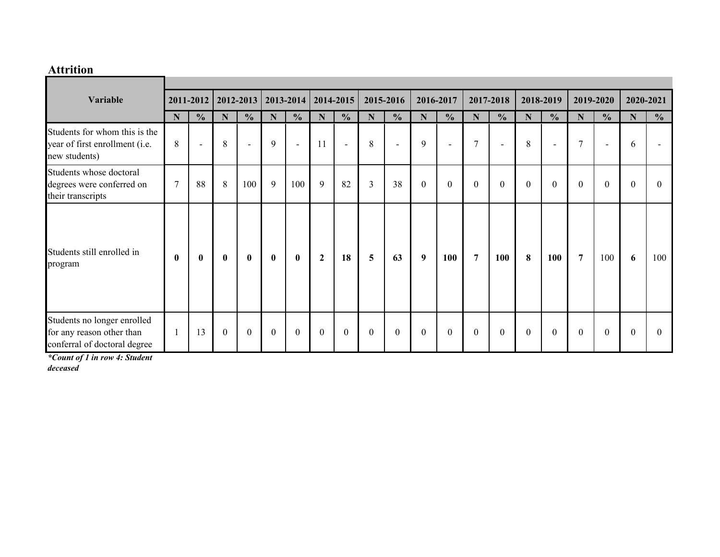### **Attrition**

| Variable                                                                                 | 2011-2012      |                          | 2012-2013      |                          | 2013-2014    |                | 2014-2015    |                | 2015-2016      |                          | 2016-2017        |                          | 2017-2018      |                  | 2018-2019      |                          | 2019-2020      |                          | 2020-2021   |               |
|------------------------------------------------------------------------------------------|----------------|--------------------------|----------------|--------------------------|--------------|----------------|--------------|----------------|----------------|--------------------------|------------------|--------------------------|----------------|------------------|----------------|--------------------------|----------------|--------------------------|-------------|---------------|
|                                                                                          | $\mathbf N$    | $\frac{0}{0}$            | $\mathbf N$    | $\frac{0}{0}$            | N            | $\frac{0}{0}$  | N            | $\frac{0}{0}$  | N              | $\frac{0}{0}$            | N                | $\frac{0}{0}$            | $\mathbf N$    | $\frac{0}{0}$    | $\mathbf N$    | $\frac{0}{0}$            | $\mathbf N$    | $\frac{0}{0}$            | $\mathbf N$ | $\frac{0}{0}$ |
| Students for whom this is the<br>year of first enrollment (i.e.<br>new students)         | 8              | $\overline{\phantom{a}}$ | 8              | $\overline{\phantom{a}}$ | 9            | $\blacksquare$ | 11           | $\blacksquare$ | 8              | $\overline{\phantom{a}}$ | 9                | $\overline{\phantom{a}}$ | $\tau$         | $\sim$           | 8              | $\overline{\phantom{a}}$ | $\tau$         | $\overline{\phantom{a}}$ | 6           |               |
| Students whose doctoral<br>degrees were conferred on<br>their transcripts                | $\overline{7}$ | 88                       | 8              | 100                      | 9            | 100            | 9            | 82             | $\overline{3}$ | 38                       | $\theta$         | $\boldsymbol{0}$         | $\mathbf{0}$   | $\boldsymbol{0}$ | $\mathbf{0}$   | $\mathbf{0}$             | $\theta$       | $\theta$                 | $\theta$    | $\Omega$      |
| Students still enrolled in<br>program                                                    | $\mathbf{0}$   | $\bf{0}$                 | $\bf{0}$       | $\bf{0}$                 | $\bf{0}$     | $\bf{0}$       | $\mathbf{2}$ | 18             | 5              | 63                       | $\boldsymbol{9}$ | 100                      | $\overline{7}$ | 100              | 8              | 100                      | $\overline{7}$ | 100                      | 6           | 100           |
| Students no longer enrolled<br>for any reason other than<br>conferral of doctoral degree |                | 13                       | $\overline{0}$ | $\mathbf{0}$             | $\mathbf{0}$ | $\mathbf{0}$   | $\mathbf{0}$ | $\overline{0}$ | $\overline{0}$ | $\boldsymbol{0}$         | $\theta$         | $\mathbf{0}$             | $\mathbf{0}$   | $\boldsymbol{0}$ | $\overline{0}$ | $\boldsymbol{0}$         | $\overline{0}$ | $\theta$                 | $\theta$    | $\theta$      |

*\*Count of 1 in row 4: Student* 

*deceased*